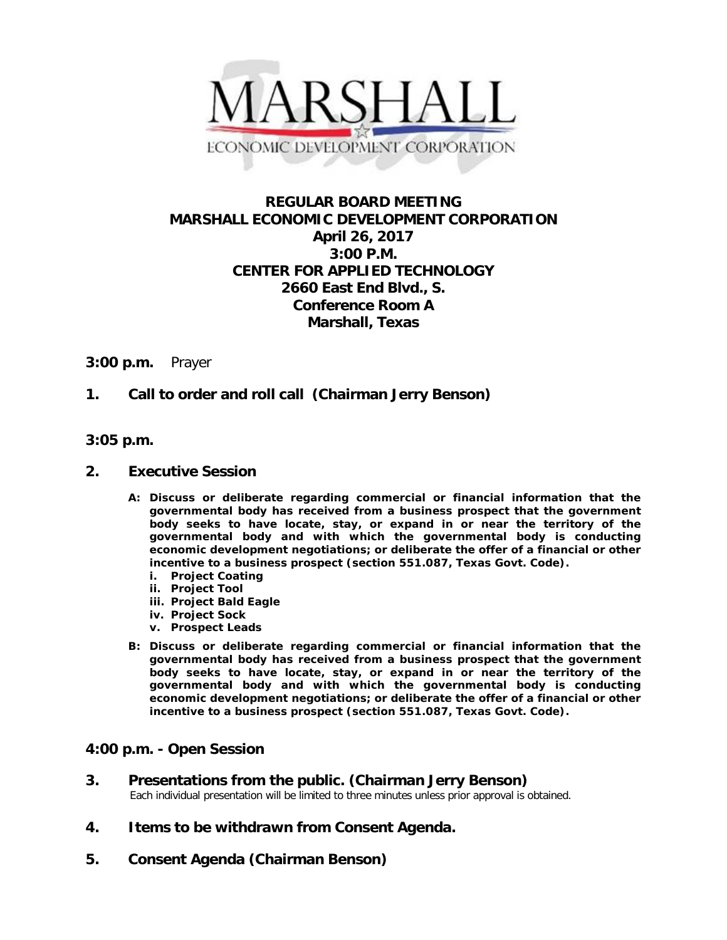

# **REGULAR BOARD MEETING MARSHALL ECONOMIC DEVELOPMENT CORPORATION April 26, 2017 3:00 P.M. CENTER FOR APPLIED TECHNOLOGY 2660 East End Blvd., S. Conference Room A Marshall, Texas**

#### **3:00 p.m.** Prayer

## **1. Call to order and roll call (Chairman Jerry Benson)**

## **3:05 p.m.**

#### **2. Executive Session**

- **A: Discuss or deliberate regarding commercial or financial information that the governmental body has received from a business prospect that the government body seeks to have locate, stay, or expand in or near the territory of the governmental body and with which the governmental body is conducting economic development negotiations; or deliberate the offer of a financial or other incentive to a business prospect (section 551.087, Texas Govt. Code).**
	- **i. Project Coating**
	- **ii. Project Tool**
	- **iii. Project Bald Eagle**
	- **iv. Project Sock**
	- **v. Prospect Leads**
- **B: Discuss or deliberate regarding commercial or financial information that the governmental body has received from a business prospect that the government body seeks to have locate, stay, or expand in or near the territory of the governmental body and with which the governmental body is conducting economic development negotiations; or deliberate the offer of a financial or other incentive to a business prospect (section 551.087, Texas Govt. Code).**

## **4:00 p.m. - Open Session**

# **3. Presentations from the public. (Chairman Jerry Benson)**<br>Each individual presentation will be limited to three minutes unless prior approval is obtained.

- **4. Items to be withdrawn from Consent Agenda.**
- **5. Consent Agenda (Chairman Benson)**